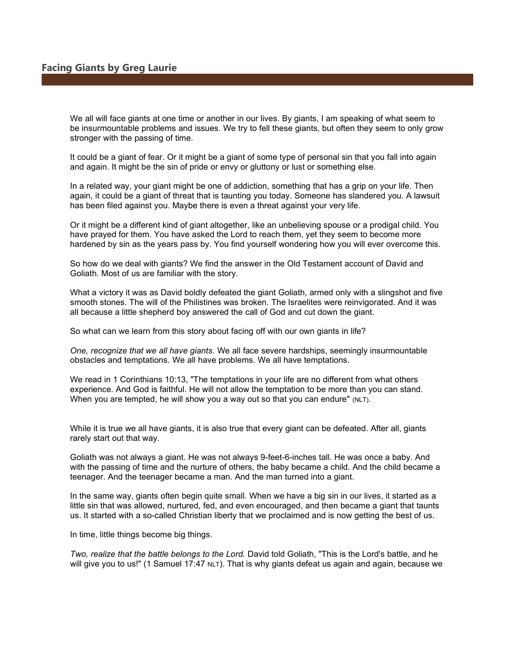We all will face giants at one time or another in our lives. By giants, I am speaking of what seem to be insurmountable problems and issues. We try to fell these giants, but often they seem to only grow stronger with the passing of time.

It could be a giant of fear. Or it might be a giant of some type of personal sin that you fall into again and again. It might be the sin of pride or envy or gluttony or lust or something else.

In a related way, your giant might be one of addiction, something that has a grip on your life. Then again, it could be a giant of threat that is taunting you today. Someone has slandered you. A lawsuit has been filed against you. Maybe there is even a threat against your very life.

Or it might be a different kind of giant altogether, like an unbelieving spouse or a prodigal child. You have prayed for them. You have asked the Lord to reach them, yet they seem to become more hardened by sin as the years pass by. You find yourself wondering how you will ever overcome this.

So how do we deal with giants? We find the answer in the Old Testament account of David and Goliath. Most of us are familiar with the story.

What a victory it was as David boldly defeated the giant Goliath, armed only with a slingshot and five smooth stones. The will of the Philistines was broken. The Israelites were reinvigorated. And it was all because a little shepherd boy answered the call of God and cut down the giant.

So what can we learn from this story about facing off with our own giants in life?

One, recognize that we all have giants. We all face severe hardships, seemingly insurmountable obstacles and temptations. We all have problems. We all have temptations.

We read in 1 Corinthians 10:13, "The temptations in your life are no different from what others experience. And God is faithful. He will not allow the temptation to be more than you can stand. When you are tempted, he will show you a way out so that you can endure" (NLT).

While it is true we all have giants, it is also true that every giant can be defeated. After all, giants rarely start out that way.

Goliath was not always a giant. He was not always 9-feet-6-inches tall. He was once a baby. And with the passing of time and the nurture of others, the baby became a child. And the child became a teenager. And the teenager became a man. And the man turned into a giant.

In the same way, giants often begin quite small. When we have a big sin in our lives, it started as a little sin that was allowed, nurtured, fed, and even encouraged, and then became a giant that taunts us. It started with a so-called Christian liberty that we proclaimed and is now getting the best of us.

In time, little things become big things.

Two, realize that the battle belongs to the Lord. David told Goliath, "This is the Lord's battle, and he will give you to us!" (1 Samuel 17:47 NLT). That is why giants defeat us again and again, because we